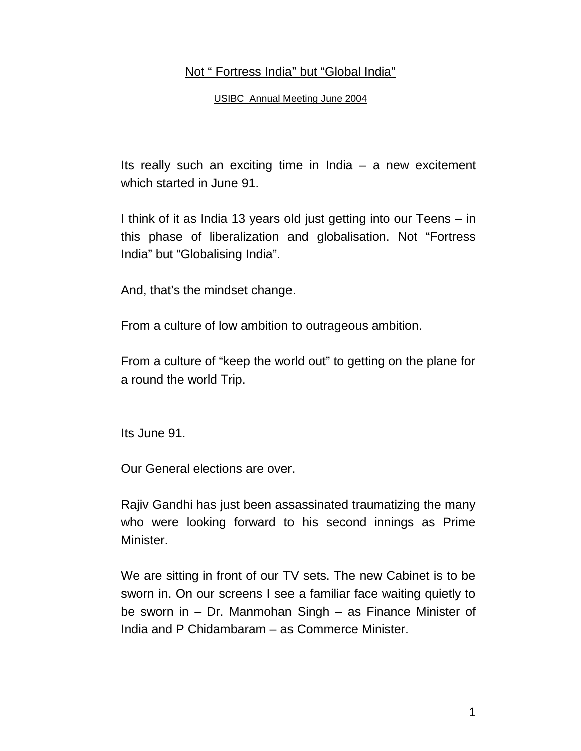## Not " Fortress India" but "Global India"

USIBC Annual Meeting June 2004

Its really such an exciting time in India  $-$  a new excitement which started in June 91.

I think of it as India 13 years old just getting into our Teens – in this phase of liberalization and globalisation. Not "Fortress India" but "Globalising India".

And, that's the mindset change.

From a culture of low ambition to outrageous ambition.

From a culture of "keep the world out" to getting on the plane for a round the world Trip.

Its June 91.

Our General elections are over.

Rajiv Gandhi has just been assassinated traumatizing the many who were looking forward to his second innings as Prime Minister.

We are sitting in front of our TV sets. The new Cabinet is to be sworn in. On our screens I see a familiar face waiting quietly to be sworn in – Dr. Manmohan Singh – as Finance Minister of India and P Chidambaram – as Commerce Minister.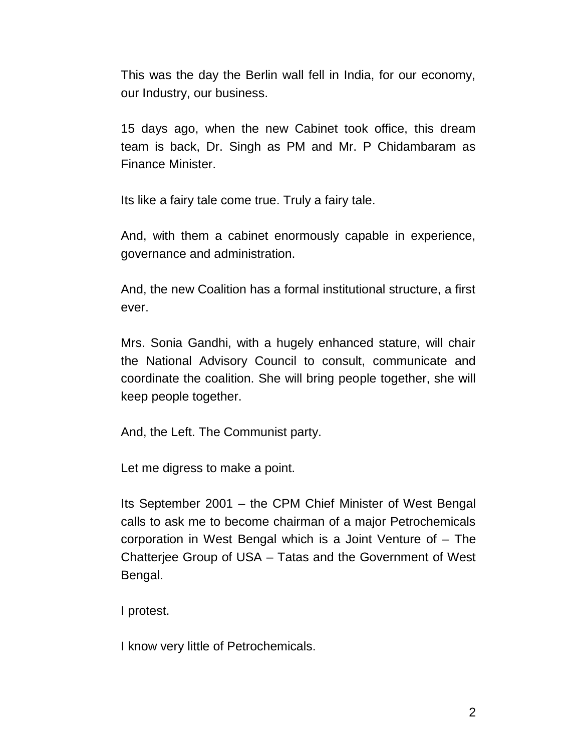This was the day the Berlin wall fell in India, for our economy, our Industry, our business.

15 days ago, when the new Cabinet took office, this dream team is back, Dr. Singh as PM and Mr. P Chidambaram as Finance Minister.

Its like a fairy tale come true. Truly a fairy tale.

And, with them a cabinet enormously capable in experience, governance and administration.

And, the new Coalition has a formal institutional structure, a first ever.

Mrs. Sonia Gandhi, with a hugely enhanced stature, will chair the National Advisory Council to consult, communicate and coordinate the coalition. She will bring people together, she will keep people together.

And, the Left. The Communist party.

Let me digress to make a point.

Its September 2001 – the CPM Chief Minister of West Bengal calls to ask me to become chairman of a major Petrochemicals corporation in West Bengal which is a Joint Venture of – The Chatterjee Group of USA – Tatas and the Government of West Bengal.

I protest.

I know very little of Petrochemicals.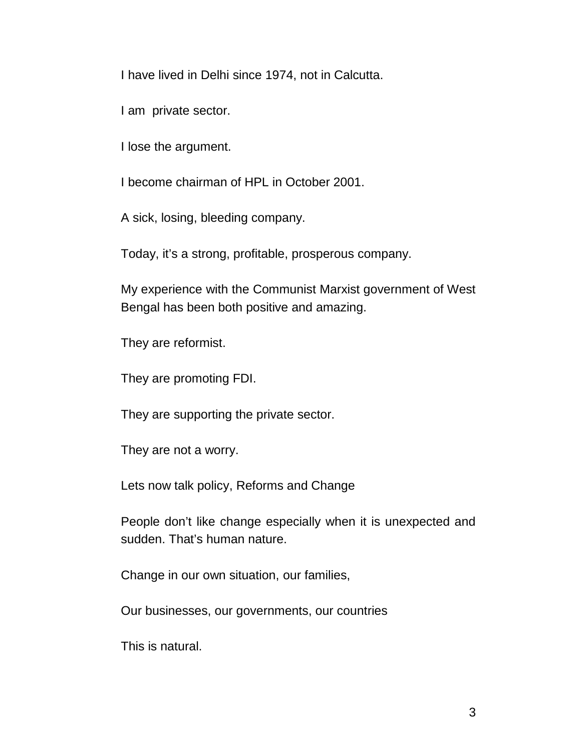I have lived in Delhi since 1974, not in Calcutta.

I am private sector.

I lose the argument.

I become chairman of HPL in October 2001.

A sick, losing, bleeding company.

Today, it's a strong, profitable, prosperous company.

My experience with the Communist Marxist government of West Bengal has been both positive and amazing.

They are reformist.

They are promoting FDI.

They are supporting the private sector.

They are not a worry.

Lets now talk policy, Reforms and Change

People don't like change especially when it is unexpected and sudden. That's human nature.

Change in our own situation, our families,

Our businesses, our governments, our countries

This is natural.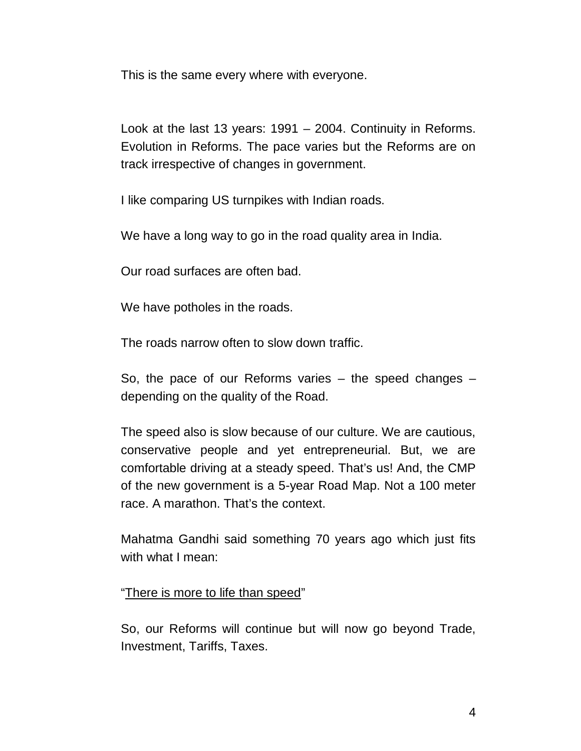This is the same every where with everyone.

Look at the last 13 years: 1991 – 2004. Continuity in Reforms. Evolution in Reforms. The pace varies but the Reforms are on track irrespective of changes in government.

I like comparing US turnpikes with Indian roads.

We have a long way to go in the road quality area in India.

Our road surfaces are often bad.

We have potholes in the roads.

The roads narrow often to slow down traffic.

So, the pace of our Reforms varies – the speed changes – depending on the quality of the Road.

The speed also is slow because of our culture. We are cautious, conservative people and yet entrepreneurial. But, we are comfortable driving at a steady speed. That's us! And, the CMP of the new government is a 5-year Road Map. Not a 100 meter race. A marathon. That's the context.

Mahatma Gandhi said something 70 years ago which just fits with what I mean:

"There is more to life than speed"

So, our Reforms will continue but will now go beyond Trade, Investment, Tariffs, Taxes.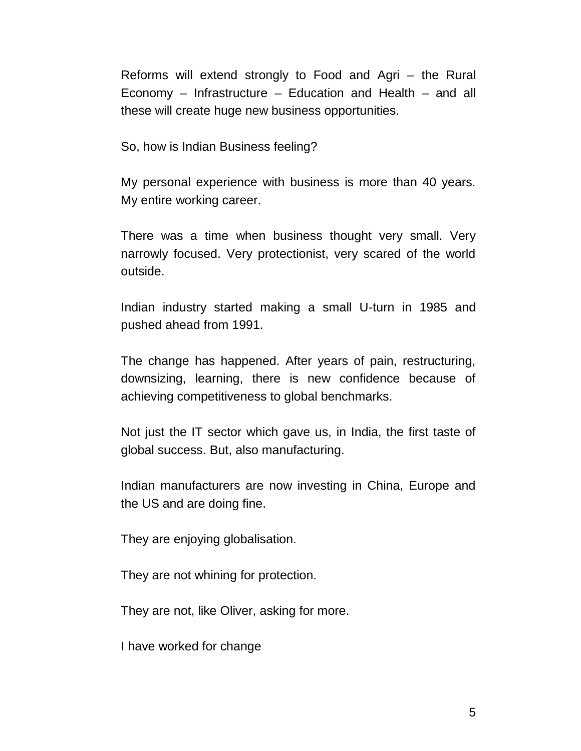Reforms will extend strongly to Food and Agri – the Rural Economy – Infrastructure – Education and Health – and all these will create huge new business opportunities.

So, how is Indian Business feeling?

My personal experience with business is more than 40 years. My entire working career.

There was a time when business thought very small. Very narrowly focused. Very protectionist, very scared of the world outside.

Indian industry started making a small U-turn in 1985 and pushed ahead from 1991.

The change has happened. After years of pain, restructuring, downsizing, learning, there is new confidence because of achieving competitiveness to global benchmarks.

Not just the IT sector which gave us, in India, the first taste of global success. But, also manufacturing.

Indian manufacturers are now investing in China, Europe and the US and are doing fine.

They are enjoying globalisation.

They are not whining for protection.

They are not, like Oliver, asking for more.

I have worked for change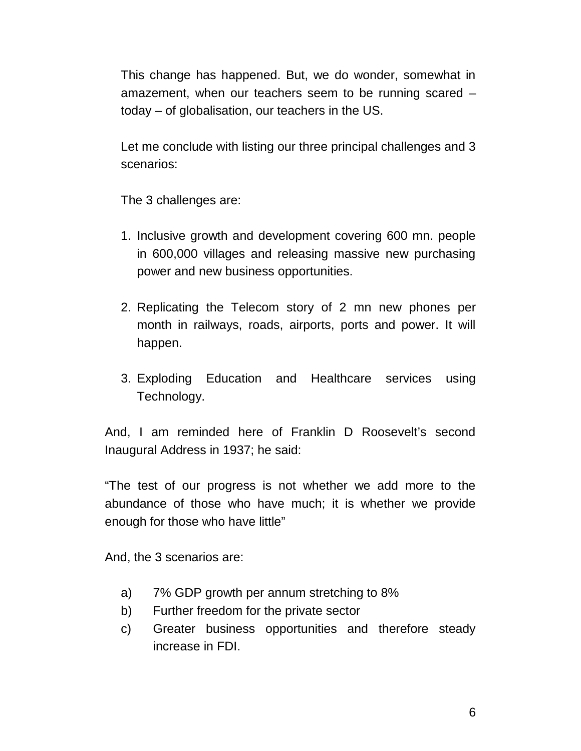This change has happened. But, we do wonder, somewhat in amazement, when our teachers seem to be running scared – today – of globalisation, our teachers in the US.

Let me conclude with listing our three principal challenges and 3 scenarios:

The 3 challenges are:

- 1. Inclusive growth and development covering 600 mn. people in 600,000 villages and releasing massive new purchasing power and new business opportunities.
- 2. Replicating the Telecom story of 2 mn new phones per month in railways, roads, airports, ports and power. It will happen.
- 3. Exploding Education and Healthcare services using Technology.

And, I am reminded here of Franklin D Roosevelt's second Inaugural Address in 1937; he said:

"The test of our progress is not whether we add more to the abundance of those who have much; it is whether we provide enough for those who have little"

And, the 3 scenarios are:

- a) 7% GDP growth per annum stretching to 8%
- b) Further freedom for the private sector
- c) Greater business opportunities and therefore steady increase in FDI.